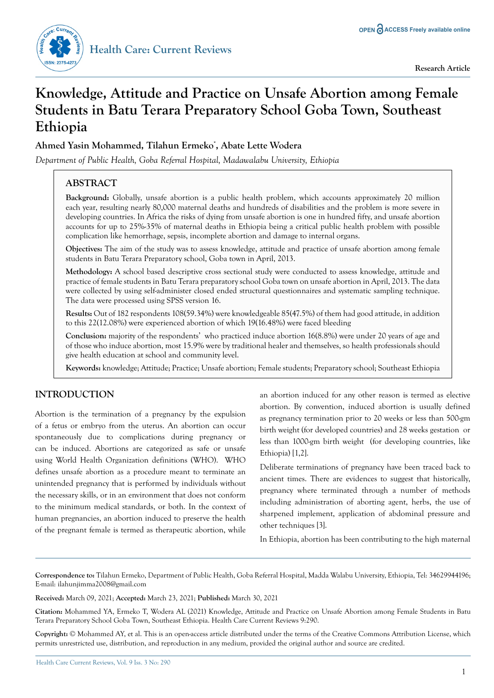

# **Knowledge, Attitude and Practice on Unsafe Abortion among Female Students in Batu Terara Preparatory School Goba Town, Southeast Ethiopia**

# **Ahmed Yasin Mohammed, Tilahun Ermeko\* , Abate Lette Wodera**

*Department of Public Health, Goba Referral Hospital, Madawalabu University, Ethiopia*

# **ABSTRACT**

**Background:** Globally, unsafe abortion is a public health problem, which accounts approximately 20 million each year, resulting nearly 80,000 maternal deaths and hundreds of disabilities and the problem is more severe in developing countries. In Africa the risks of dying from unsafe abortion is one in hundred fifty, and unsafe abortion accounts for up to 25%-35% of maternal deaths in Ethiopia being a critical public health problem with possible complication like hemorrhage, sepsis, incomplete abortion and damage to internal organs.

**Objectives:** The aim of the study was to assess knowledge, attitude and practice of unsafe abortion among female students in Batu Terara Preparatory school, Goba town in April, 2013.

**Methodology:** A school based descriptive cross sectional study were conducted to assess knowledge, attitude and practice of female students in Batu Terara preparatory school Goba town on unsafe abortion in April, 2013. The data were collected by using self-administer closed ended structural questionnaires and systematic sampling technique. The data were processed using SPSS version 16.

**Results:** Out of 182 respondents 108(59.34%) were knowledgeable 85(47.5%) of them had good attitude, in addition to this 22(12.08%) were experienced abortion of which 19(16.48%) were faced bleeding

**Conclusion:** majority of the respondents' who practiced induce abortion 16(8.8%) were under 20 years of age and of those who induce abortion, most 15.9% were by traditional healer and themselves, so health professionals should give health education at school and community level.

**Keywords:** knowledge; Attitude; Practice; Unsafe abortion; Female students; Preparatory school; Southeast Ethiopia

# **INTRODUCTION**

Abortion is the termination of a pregnancy by the expulsion of a fetus or embryo from the uterus. An abortion can occur spontaneously due to complications during pregnancy or can be induced. Abortions are categorized as safe or unsafe using World Health Organization definitions (WHO). WHO defines unsafe abortion as a procedure meant to terminate an unintended pregnancy that is performed by individuals without the necessary skills, or in an environment that does not conform to the minimum medical standards, or both. In the context of human pregnancies, an abortion induced to preserve the health of the pregnant female is termed as therapeutic abortion, while

an abortion induced for any other reason is termed as elective abortion. By convention, induced abortion is usually defined as pregnancy termination prior to 20 weeks or less than 500-gm birth weight (for developed countries) and 28 weeks gestation or less than 1000-gm birth weight (for developing countries, like Ethiopia) [1,2].

Deliberate terminations of pregnancy have been traced back to ancient times. There are evidences to suggest that historically, pregnancy where terminated through a number of methods including administration of aborting agent, herbs, the use of sharpened implement, application of abdominal pressure and other techniques [3].

In Ethiopia, abortion has been contributing to the high maternal

**Correspondence to:** Tilahun Ermeko, Department of Public Health, Goba Referral Hospital, Madda Walabu University, Ethiopia, Tel: 34629944196; E-mail: ilahunjimma2008@gmail.com

**Received:** March 09, 2021; **Accepted:** March 23, 2021; **Published:** March 30, 2021

**Citation:** Mohammed YA, Ermeko T, Wodera AL (2021) Knowledge, Attitude and Practice on Unsafe Abortion among Female Students in Batu Terara Preparatory School Goba Town, Southeast Ethiopia. Health Care Current Reviews 9:290.

**Copyright:** © Mohammed AY, et al. This is an open-access article distributed under the terms of the Creative Commons Attribution License, which permits unrestricted use, distribution, and reproduction in any medium, provided the original author and source are credited.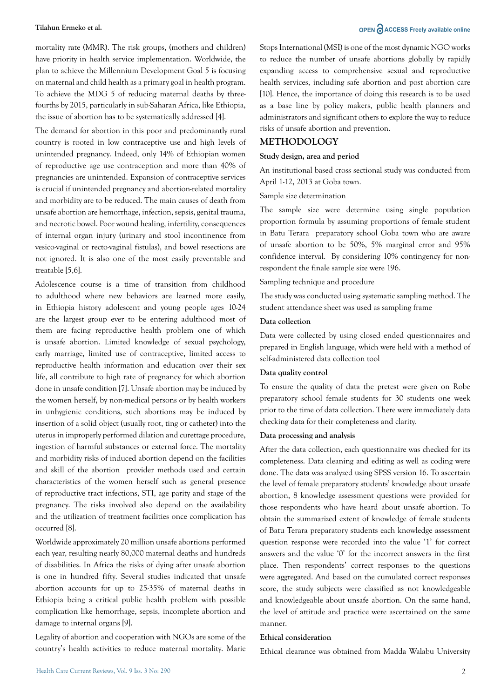mortality rate (MMR). The risk groups, (mothers and children) have priority in health service implementation. Worldwide, the plan to achieve the Millennium Development Goal 5 is focusing on maternal and child health as a primary goal in health program. To achieve the MDG 5 of reducing maternal deaths by threefourths by 2015, particularly in sub-Saharan Africa, like Ethiopia, the issue of abortion has to be systematically addressed [4].

The demand for abortion in this poor and predominantly rural country is rooted in low contraceptive use and high levels of unintended pregnancy. Indeed, only 14% of Ethiopian women of reproductive age use contraception and more than 40% of pregnancies are unintended. Expansion of contraceptive services is crucial if unintended pregnancy and abortion-related mortality and morbidity are to be reduced. The main causes of death from unsafe abortion are hemorrhage, infection, sepsis, genital trauma, and necrotic bowel. Poor wound healing, infertility, consequences of internal organ injury (urinary and stool incontinence from vesico-vaginal or recto-vaginal fistulas), and bowel resections are not ignored. It is also one of the most easily preventable and treatable [5,6].

Adolescence course is a time of transition from childhood to adulthood where new behaviors are learned more easily, in Ethiopia history adolescent and young people ages 10-24 are the largest group ever to be entering adulthood most of them are facing reproductive health problem one of which is unsafe abortion. Limited knowledge of sexual psychology, early marriage, limited use of contraceptive, limited access to reproductive health information and education over their sex life, all contribute to high rate of pregnancy for which abortion done in unsafe condition [7]. Unsafe abortion may be induced by the women herself, by non-medical persons or by health workers in unhygienic conditions, such abortions may be induced by insertion of a solid object (usually root, ting or catheter) into the uterus in improperly performed dilation and curettage procedure, ingestion of harmful substances or external force. The mortality and morbidity risks of induced abortion depend on the facilities and skill of the abortion provider methods used and certain characteristics of the women herself such as general presence of reproductive tract infections, STI, age parity and stage of the pregnancy. The risks involved also depend on the availability and the utilization of treatment facilities once complication has occurred [8].

Worldwide approximately 20 million unsafe abortions performed each year, resulting nearly 80,000 maternal deaths and hundreds of disabilities. In Africa the risks of dying after unsafe abortion is one in hundred fifty. Several studies indicated that unsafe abortion accounts for up to 25-35% of maternal deaths in Ethiopia being a critical public health problem with possible complication like hemorrhage, sepsis, incomplete abortion and damage to internal organs [9].

Legality of abortion and cooperation with NGOs are some of the country's health activities to reduce maternal mortality. Marie

# **Tilahun Ermeko et al. OPEN ACCESS Freely available online**

Stops International (MSI) is one of the most dynamic NGO works to reduce the number of unsafe abortions globally by rapidly expanding access to comprehensive sexual and reproductive health services, including safe abortion and post abortion care [10]. Hence, the importance of doing this research is to be used as a base line by policy makers, public health planners and administrators and significant others to explore the way to reduce risks of unsafe abortion and prevention.

# **METHODOLOGY**

### **Study design, area and period**

An institutional based cross sectional study was conducted from April 1-12, 2013 at Goba town.

Sample size determination

The sample size were determine using single population proportion formula by assuming proportions of female student in Batu Terara preparatory school Goba town who are aware of unsafe abortion to be 50%, 5% marginal error and 95% confidence interval. By considering 10% contingency for nonrespondent the finale sample size were 196.

Sampling technique and procedure

The study was conducted using systematic sampling method. The student attendance sheet was used as sampling frame

# **Data collection**

Data were collected by using closed ended questionnaires and prepared in English language, which were held with a method of self-administered data collection tool

### **Data quality control**

To ensure the quality of data the pretest were given on Robe preparatory school female students for 30 students one week prior to the time of data collection. There were immediately data checking data for their completeness and clarity.

### **Data processing and analysis**

After the data collection, each questionnaire was checked for its completeness. Data cleaning and editing as well as coding were done. The data was analyzed using SPSS version 16. To ascertain the level of female preparatory students' knowledge about unsafe abortion, 8 knowledge assessment questions were provided for those respondents who have heard about unsafe abortion. To obtain the summarized extent of knowledge of female students of Batu Terara preparatory students each knowledge assessment question response were recorded into the value '1' for correct answers and the value '0' for the incorrect answers in the first place. Then respondents' correct responses to the questions were aggregated. And based on the cumulated correct responses score, the study subjects were classified as not knowledgeable and knowledgeable about unsafe abortion. On the same hand, the level of attitude and practice were ascertained on the same manner.

### **Ethical consideration**

Ethical clearance was obtained from Madda Walabu University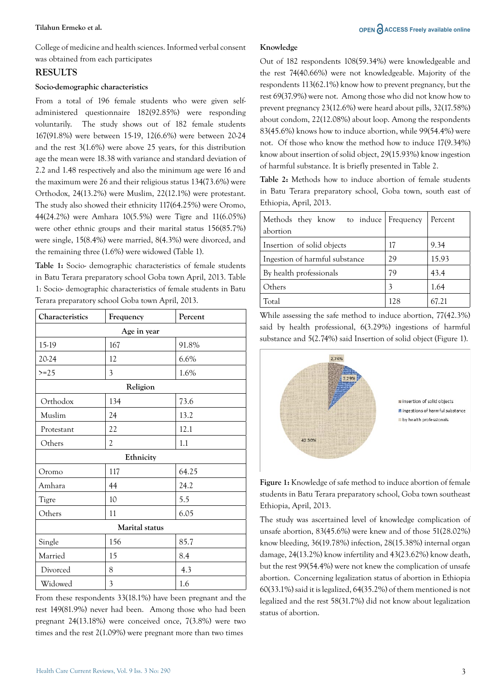College of medicine and health sciences. Informed verbal consent was obtained from each participates

# **RESULTS**

# **Socio-demographic characteristics**

From a total of 196 female students who were given selfadministered questionnaire 182(92.85%) were responding voluntarily. The study shows out of 182 female students 167(91.8%) were between 15-19, 12(6.6%) were between 20-24 and the rest 3(1.6%) were above 25 years, for this distribution age the mean were 18.38 with variance and standard deviation of 2.2 and 1.48 respectively and also the minimum age were 16 and the maximum were 26 and their religious status 134(73.6%) were Orthodox, 24(13.2%) were Muslim, 22(12.1%) were protestant. The study also showed their ethnicity 117(64.25%) were Oromo, 44(24.2%) were Amhara 10(5.5%) were Tigre and 11(6.05%) were other ethnic groups and their marital status 156(85.7%) were single, 15(8.4%) were married, 8(4.3%) were divorced, and the remaining three (1.6%) were widowed (Table 1).

**Table 1:** Socio- demographic characteristics of female students in Batu Terara preparatory school Goba town April, 2013. Table 1: Socio- demographic characteristics of female students in Batu Terara preparatory school Goba town April, 2013.

| Characteristics | Frequency      | Percent |  |  |
|-----------------|----------------|---------|--|--|
| Age in year     |                |         |  |  |
| 15-19           | 167            | 91.8%   |  |  |
| 20-24           | 12             | 6.6%    |  |  |
| $>=25$          | $\mathfrak{Z}$ | 1.6%    |  |  |
| Religion        |                |         |  |  |
| Orthodox        | 134            | 73.6    |  |  |
| Muslim          | 24             | 13.2    |  |  |
| Protestant      | 22             | 12.1    |  |  |
| Others          | $\mathfrak{2}$ | 1.1     |  |  |
| Ethnicity       |                |         |  |  |
| Oromo           | 117            | 64.25   |  |  |
| Amhara          | 44             | 24.2    |  |  |
| Tigre           | 10             | 5.5     |  |  |
| Others          | 11             | 6.05    |  |  |
| Marital status  |                |         |  |  |
| Single          | 156            | 85.7    |  |  |
| Married         | 15             | 8.4     |  |  |
| Divorced        | 8              | 4.3     |  |  |
| Widowed         | $\mathfrak{Z}$ | 1.6     |  |  |

From these respondents 33(18.1%) have been pregnant and the rest 149(81.9%) never had been. Among those who had been pregnant 24(13.18%) were conceived once, 7(3.8%) were two times and the rest 2(1.09%) were pregnant more than two times

# **Knowledge**

Out of 182 respondents 108(59.34%) were knowledgeable and the rest 74(40.66%) were not knowledgeable. Majority of the respondents 113(62.1%) know how to prevent pregnancy, but the rest 69(37.9%) were not. Among those who did not know how to prevent pregnancy 23(12.6%) were heard about pills, 32(17.58%) about condom, 22(12.08%) about loop. Among the respondents 83(45.6%) knows how to induce abortion, while 99(54.4%) were not. Of those who know the method how to induce 17(9.34%) know about insertion of solid object, 29(15.93%) know ingestion of harmful substance. It is briefly presented in Table 2.

**Table 2:** Methods how to induce abortion of female students in Batu Terara preparatory school, Goba town, south east of Ethiopia, April, 2013.

| Methods they know to induce Frequency<br>abortion |     | Percent |
|---------------------------------------------------|-----|---------|
| Insertion of solid objects                        | 17  | 9.34    |
| Ingestion of harmful substance                    | 29  | 15.93   |
| By health professionals                           | 79  | 43.4    |
| Others                                            | 3   | 1.64    |
| Total                                             | 128 | 67.21   |

While assessing the safe method to induce abortion, 77(42.3%) said by health professional, 6(3.29%) ingestions of harmful substance and 5(2.74%) said Insertion of solid object (Figure 1).



**Figure 1:** Knowledge of safe method to induce abortion of female students in Batu Terara preparatory school, Goba town southeast Ethiopia, April, 2013.

The study was ascertained level of knowledge complication of unsafe abortion, 83(45.6%) were knew and of those 51(28.02%) know bleeding, 36(19.78%) infection, 28(15.38%) internal organ damage, 24(13.2%) know infertility and 43(23.62%) know death, but the rest 99(54.4%) were not knew the complication of unsafe abortion. Concerning legalization status of abortion in Ethiopia 60(33.1%) said it is legalized, 64(35.2%) of them mentioned is not legalized and the rest 58(31.7%) did not know about legalization status of abortion.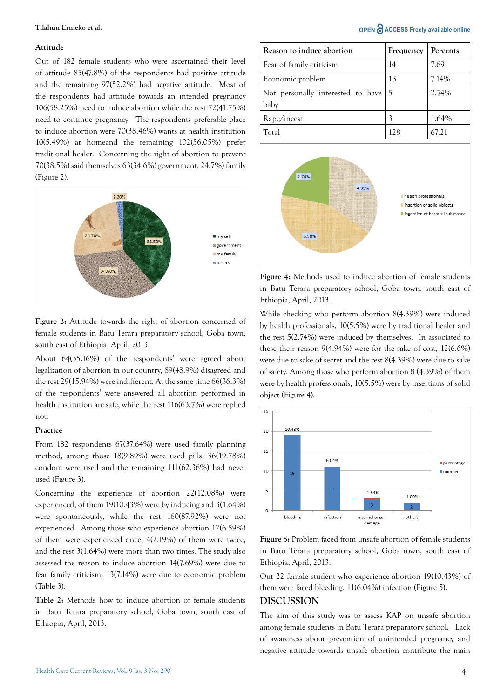### **Attitude**

Out of 182 female students who were ascertained their level of attitude 85(47.8%) of the respondents had positive attitude and the remaining 97(52.2%) had negative attitude. Most of the respondents had attitude towards an intended pregnancy 106(58.25%) need to induce abortion while the rest 72(41.75%) need to continue pregnancy. The respondents preferable place to induce abortion were 70(38.46%) wants at health institution 10(5.49%) at homeand the remaining 102(56.05%) prefer traditional healer. Concerning the right of abortion to prevent 70(38.5%) said themselves 63(34.6%) government, 24.7%) family (Figure 2).



**Figure 2:** Attitude towards the right of abortion concerned of female students in Batu Terara preparatory school, Goba town, south east of Ethiopia, April, 2013.

About 64(35.16%) of the respondents' were agreed about legalization of abortion in our country, 89(48.9%) disagreed and the rest 29(15.94%) were indifferent. At the same time 66(36.3%) of the respondents' were answered all abortion performed in health institution are safe, while the rest 116(63.7%) were replied not.

# **Practice**

From 182 respondents 67(37.64%) were used family planning method, among those 18(9.89%) were used pills, 36(19.78%) condom were used and the remaining 111(62.36%) had never used (Figure 3).

Concerning the experience of abortion 22(12.08%) were experienced, of them 19(10.43%) were by inducing and 3(1.64%) were spontaneously, while the rest 160(87.92%) were not experienced. Among those who experience abortion 12(6.59%) of them were experienced once, 4(2.19%) of them were twice, and the rest 3(1.64%) were more than two times. The study also assessed the reason to induce abortion 14(7.69%) were due to fear family criticism, 13(7.14%) were due to economic problem (Table 3).

**Table 2:** Methods how to induce abortion of female students in Batu Terara preparatory school, Goba town, south east of Ethiopia, April, 2013.

**Tilahun Ermeko et al. OPEN ACCESS Freely available online** 

| Reason to induce abortion                           | Frequency | Percents |
|-----------------------------------------------------|-----------|----------|
| Fear of family criticism                            | 14        | 7.69     |
| Economic problem                                    | 13        | 7.14%    |
| Not personally interested to have $\vert 5 \rangle$ |           | 2.74%    |
| baby                                                |           |          |
| Rape/incest                                         | 3         | 1.64%    |
| Total                                               | 128       | 67.21    |



**Figure 4:** Methods used to induce abortion of female students in Batu Terara preparatory school, Goba town, south east of Ethiopia, April, 2013.

While checking who perform abortion 8(4.39%) were induced by health professionals, 10(5.5%) were by traditional healer and the rest 5(2.74%) were induced by themselves. In associated to these their reason 9(4.94%) were for the sake of cost, 12(6.6%) were due to sake of secret and the rest 8(4.39%) were due to sake of safety. Among those who perform abortion 8 (4.39%) of them were by health professionals, 10(5.5%) were by insertions of solid object (Figure 4).



**Figure 5:** Problem faced from unsafe abortion of female students in Batu Terara preparatory school, Goba town, south east of Ethiopia, April, 2013.

Out 22 female student who experience abortion 19(10.43%) of them were faced bleeding, 11(6.04%) infection (Figure 5).

### **DISCUSSION**

The aim of this study was to assess KAP on unsafe abortion among female students in Batu Terara preparatory school. Lack of awareness about prevention of unintended pregnancy and negative attitude towards unsafe abortion contribute the main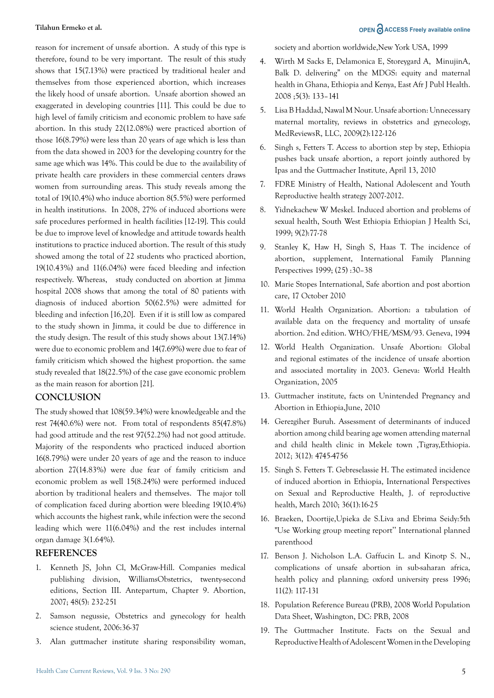reason for increment of unsafe abortion. A study of this type is therefore, found to be very important. The result of this study shows that 15(7.13%) were practiced by traditional healer and themselves from those experienced abortion, which increases the likely hood of unsafe abortion. Unsafe abortion showed an exaggerated in developing countries [11]. This could be due to high level of family criticism and economic problem to have safe abortion. In this study 22(12.08%) were practiced abortion of those 16(8.79%) were less than 20 years of age which is less than from the data showed in 2003 for the developing country for the same age which was 14%. This could be due to the availability of private health care providers in these commercial centers draws women from surrounding areas. This study reveals among the total of 19(10.4%) who induce abortion 8(5.5%) were performed in health institutions. In 2008, 27% of induced abortions were safe procedures performed in health facilities [12-19]. This could be due to improve level of knowledge and attitude towards health institutions to practice induced abortion. The result of this study showed among the total of 22 students who practiced abortion, 19(10.43%) and 11(6.04%) were faced bleeding and infection respectively. Whereas, study conducted on abortion at Jimma hospital 2008 shows that among the total of 80 patients with diagnosis of induced abortion 50(62.5%) were admitted for bleeding and infection [16,20]. Even if it is still low as compared to the study shown in Jimma, it could be due to difference in the study design. The result of this study shows about 13(7.14%) were due to economic problem and 14(7.69%) were due to fear of family criticism which showed the highest proportion. the same study revealed that 18(22.5%) of the case gave economic problem as the main reason for abortion [21].

# **CONCLUSION**

The study showed that 108(59.34%) were knowledgeable and the rest 74(40.6%) were not. From total of respondents 85(47.8%) had good attitude and the rest 97(52.2%) had not good attitude. Majority of the respondents who practiced induced abortion 16(8.79%) were under 20 years of age and the reason to induce abortion 27(14.83%) were due fear of family criticism and economic problem as well 15(8.24%) were performed induced abortion by traditional healers and themselves. The major toll of complication faced during abortion were bleeding 19(10.4%) which accounts the highest rank, while infection were the second leading which were 11(6.04%) and the rest includes internal organ damage 3(1.64%).

# **REFERENCES**

- 1. [Kenneth JS, John Cl, McGraw-Hill. Companies medical](https://doi.org/10.1016/S1526-9523(03)00291-5) [publishing division, WilliamsObstetrics, twenty-second](https://doi.org/10.1016/S1526-9523(03)00291-5) [editions, Section III. Antepartum, Chapter 9. Abortion,](https://doi.org/10.1016/S1526-9523(03)00291-5) [2007; 48\(5\): 232-251](https://doi.org/10.1016/S1526-9523(03)00291-5)
- 2. [Samson negussie, Obstetrics and gynecology for health](https://www.slideshare.net/mesfinmulugeta524/a4-obstetrics-note) [science student, 2006:36-37](https://www.slideshare.net/mesfinmulugeta524/a4-obstetrics-note)
- 3. [Alan guttmacher institute sharing responsibility woman,](https://www.guttmacher.org/sites/default/files/pdfs/pubs/sharing.pdf)

[society and abortion worldwide,New York USA, 1999](https://www.guttmacher.org/sites/default/files/pdfs/pubs/sharing.pdf)

- 4. [Wirth M Sacks E, Delamonica E, Storeygard A, MinujinA,](https://www.ncbi.nlm.nih.gov/pubmed/19374312)  [Balk D. delivering" on the MDGS: equity and maternal](https://www.ncbi.nlm.nih.gov/pubmed/19374312)  [health in Ghana, Ethiopia and Kenya, East Afr J Publ Health.](https://www.ncbi.nlm.nih.gov/pubmed/19374312)  [2008 ;5\(3\): 133–141](https://www.ncbi.nlm.nih.gov/pubmed/19374312)
- 5. [Lisa B Haddad, Nawal M Nour. Unsafe abortion: Unnecessary](https://www.ncbi.nlm.nih.gov/pubmed/19609407)  [maternal mortality, reviews in obstetrics and gynecology,](https://www.ncbi.nlm.nih.gov/pubmed/19609407)  [MedReviewsR, LLC, 2009\(2\):122-126](https://www.ncbi.nlm.nih.gov/pubmed/19609407)
- 6. [Singh s, Fetters T. Access to abortion step by step, Ethiopia](https://www.guttmacher.org/journals/ipsrh/2010/03/estimated-incidence-induced-abortion-ethiopia-2008)  [pushes back unsafe abortion, a report jointly authored by](https://www.guttmacher.org/journals/ipsrh/2010/03/estimated-incidence-induced-abortion-ethiopia-2008)  [Ipas and the Guttmacher Institute, April 13, 2010](https://www.guttmacher.org/journals/ipsrh/2010/03/estimated-incidence-induced-abortion-ethiopia-2008)
- 7. [FDRE Ministry of Health, National Adolescent and Youth](https://extranet.who.int/countryplanningcycles/sites/default/files/planning_cycle_repository/ethiopia/ayrh_strategy.pdf)  [Reproductive health strategy 2007-2012.](https://extranet.who.int/countryplanningcycles/sites/default/files/planning_cycle_repository/ethiopia/ayrh_strategy.pdf)
- 8. [Yidnekachew W Meskel. Induced abortion and problems of](https://www.ajol.info/index.php/ejhs/article/view/146736)  [sexual health, South West Ethiopia Ethiopian J Health Sci,](https://www.ajol.info/index.php/ejhs/article/view/146736)  [1999; 9\(2\):77-78](https://www.ajol.info/index.php/ejhs/article/view/146736)
- 9. Stanley K, Haw H, Singh S, Haas T. The incidence of abortion, supplement, International Family Planning Perspectives 1999; (25) :30–38
- 10. [Marie Stopes International, Safe abortion and post abortion](C:\Users\omics\Downloads\9789241549264_eng.pdf)  [care, 17 October 2010](C:\Users\omics\Downloads\9789241549264_eng.pdf)
- 11. [World Health Organization. Abortion: a tabulation of](https://apps.who.int/iris/bitstream/handle/10665/42976/9241591803.pdf?sequence=1)  [available data on the frequency and mortality of unsafe](https://apps.who.int/iris/bitstream/handle/10665/42976/9241591803.pdf?sequence=1)  [abortion. 2nd edition. WHO/FHE/MSM/93. Geneva, 1994](https://apps.who.int/iris/bitstream/handle/10665/42976/9241591803.pdf?sequence=1)
- 12. [World Health Organization. Unsafe Abortion: Global](https://apps.who.int/iris/handle/10665/43798?show=full)  [and regional estimates of the incidence of unsafe abortion](https://apps.who.int/iris/handle/10665/43798?show=full)  [and associated mortality in 2003. Geneva: World Health](https://apps.who.int/iris/handle/10665/43798?show=full)  [Organization, 2005](https://apps.who.int/iris/handle/10665/43798?show=full)
- 13. [Guttmacher institute, facts on Unintended Pregnancy and](https://www.guttmacher.org/sites/default/files/factsheet/fb-up-ethiopia.pdf)  [Abortion in Ethiopia,June, 2010](https://www.guttmacher.org/sites/default/files/factsheet/fb-up-ethiopia.pdf)
- 14. [Gerezgiher Buruh. Assessment of determinants of induced](http://dx.doi.org/10.13040/IJPSR.0975-8232.3(12).4745-56)  [abortion among child bearing age women attending maternal](http://dx.doi.org/10.13040/IJPSR.0975-8232.3(12).4745-56)  [and child health clinic in Mekele town ,Tigray,Ethiopia.](http://dx.doi.org/10.13040/IJPSR.0975-8232.3(12).4745-56)  [2012; 3\(12\): 4745-4756](http://dx.doi.org/10.13040/IJPSR.0975-8232.3(12).4745-56)
- 15. [Singh S. Fetters T. Gebreselassie H. The estimated incidence](https://doi.org/10.1363/42e1816)  [of induced abortion in Ethiopia, International Perspectives](https://doi.org/10.1363/42e1816)  [on Sexual and Reproductive Health, J. of reproductive](https://doi.org/10.1363/42e1816)  [health, March 2010; 36\(1\):16-25](https://doi.org/10.1363/42e1816)
- 16. [Braeken, Doortije,Upieka de S.Liva and Ebrima Seidy:5th](https://resourcecentre.savethechildren.net/publishers/ippf-international-planned-parenthood-federation)  ["Use Working group meeting report'' International planned](https://resourcecentre.savethechildren.net/publishers/ippf-international-planned-parenthood-federation)  [parenthood](https://resourcecentre.savethechildren.net/publishers/ippf-international-planned-parenthood-federation)
- 17. [Benson J. Nicholson L.A. Gaffucin L. and Kinotp S. N.,](http://\\cpu-0021\Team_Samba\Team Samba\Seshagiri\Q2 R1 Files\10.1093\heapol\11.2.117)  [complications of unsafe abortion in sub-saharan africa,](http://\\cpu-0021\Team_Samba\Team Samba\Seshagiri\Q2 R1 Files\10.1093\heapol\11.2.117)  [health policy and planning; oxford university press 1996;](http://\\cpu-0021\Team_Samba\Team Samba\Seshagiri\Q2 R1 Files\10.1093\heapol\11.2.117)  [11\(2\): 117-131](http://\\cpu-0021\Team_Samba\Team Samba\Seshagiri\Q2 R1 Files\10.1093\heapol\11.2.117)
- 18. [Population Reference Bureau \(PRB\), 2008 World Population](https://www.prb.org/2008wpds-webcast-2/)  [Data Sheet, Washington, DC: PRB, 2008](https://www.prb.org/2008wpds-webcast-2/)
- 19. [The Guttmacher Institute. Facts on the Sexual and](https://www.guttmacher.org/sites/default/files/pdfs/pubs/FB-Adolescents-SRH.pdf)  [Reproductive Health of Adolescent Women in the Developing](https://www.guttmacher.org/sites/default/files/pdfs/pubs/FB-Adolescents-SRH.pdf)